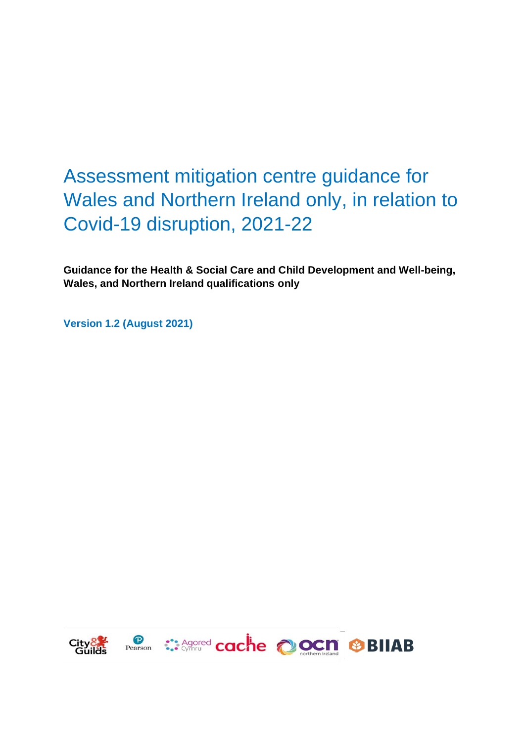# Assessment mitigation centre guidance for Wales and Northern Ireland only, in relation to Covid-19 disruption, 2021-22

**Guidance for the Health & Social Care and Child Development and Well-being, Wales, and Northern Ireland qualifications only**

**Version 1.2 (August 2021)**

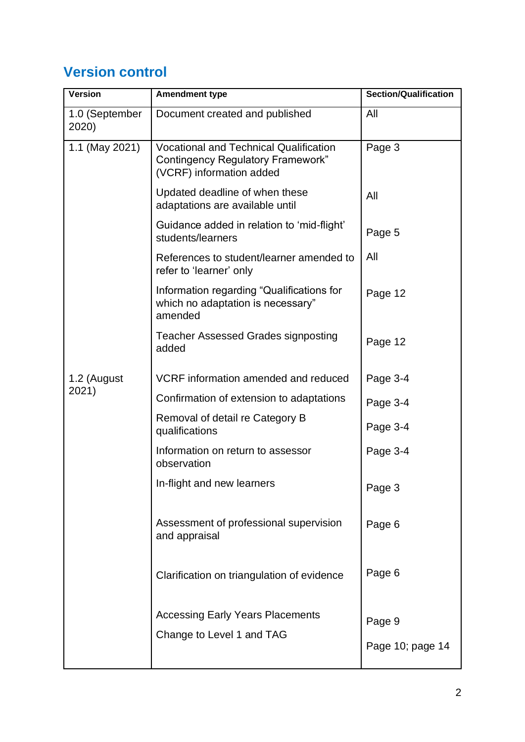# **Version control**

| Version                 | <b>Amendment type</b>                                                                                                 | <b>Section/Qualification</b> |
|-------------------------|-----------------------------------------------------------------------------------------------------------------------|------------------------------|
| 1.0 (September<br>2020) | Document created and published                                                                                        | All                          |
| 1.1 (May 2021)          | <b>Vocational and Technical Qualification</b><br><b>Contingency Regulatory Framework"</b><br>(VCRF) information added | Page 3                       |
|                         | Updated deadline of when these<br>adaptations are available until                                                     | All                          |
|                         | Guidance added in relation to 'mid-flight'<br>students/learners                                                       | Page 5                       |
|                         | References to student/learner amended to<br>refer to 'learner' only                                                   | All                          |
|                         | Information regarding "Qualifications for<br>which no adaptation is necessary"<br>amended                             | Page 12                      |
|                         | <b>Teacher Assessed Grades signposting</b><br>added                                                                   | Page 12                      |
| 1.2 (August<br>2021)    | VCRF information amended and reduced                                                                                  | Page 3-4                     |
|                         | Confirmation of extension to adaptations                                                                              | Page 3-4                     |
|                         | Removal of detail re Category B<br>qualifications                                                                     | Page 3-4                     |
|                         | Information on return to assessor<br>observation                                                                      | Page 3-4                     |
|                         | In-flight and new learners                                                                                            | Page 3                       |
|                         | Assessment of professional supervision<br>and appraisal                                                               | Page 6                       |
|                         | Clarification on triangulation of evidence                                                                            | Page 6                       |
|                         | <b>Accessing Early Years Placements</b><br>Change to Level 1 and TAG                                                  | Page 9<br>Page 10; page 14   |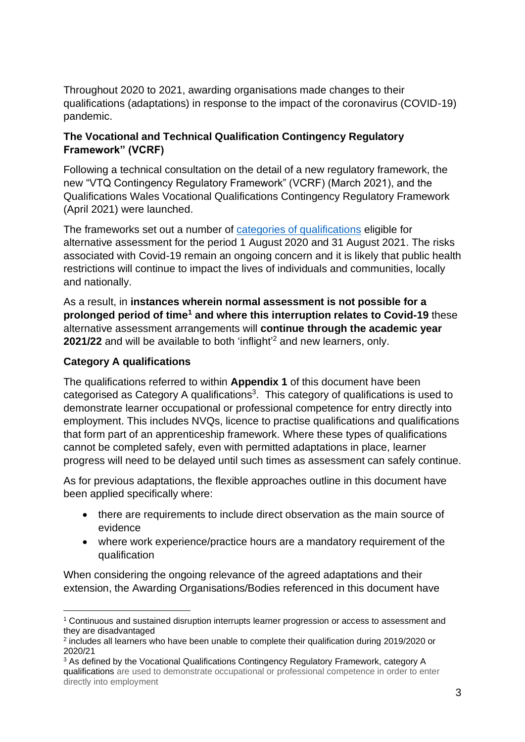Throughout 2020 to 2021, awarding organisations made changes to their qualifications (adaptations) in response to the impact of the coronavirus (COVID-19) pandemic.

#### **The Vocational and Technical Qualification Contingency Regulatory Framework" (VCRF)**

Following a technical consultation on the detail of a new regulatory framework, the new "VTQ Contingency Regulatory Framework" (VCRF) (March 2021), and the Qualifications Wales Vocational Qualifications Contingency Regulatory Framework (April 2021) were launched.

The frameworks set out a number of [categories of qualifications](https://assets.publishing.service.gov.uk/government/uploads/system/uploads/attachment_data/file/964614/Infographic_-_how_vocational_and_technical_qualifications_will_be_awarded_in_2021.pdf) eligible for alternative assessment for the period 1 August 2020 and 31 August 2021. The risks associated with Covid-19 remain an ongoing concern and it is likely that public health restrictions will continue to impact the lives of individuals and communities, locally and nationally.

As a result, in **instances wherein normal assessment is not possible for a prolonged period of time<sup>1</sup> and where this interruption relates to Covid-19** these alternative assessment arrangements will **continue through the academic year**  2021/22 and will be available to both 'inflight<sup>'2</sup> and new learners, only.

### **Category A qualifications**

The qualifications referred to within **Appendix 1** of this document have been categorised as Category A qualifications<sup>3</sup>. This category of qualifications is used to demonstrate learner occupational or professional competence for entry directly into employment. This includes NVQs, licence to practise qualifications and qualifications that form part of an apprenticeship framework. Where these types of qualifications cannot be completed safely, even with permitted adaptations in place, learner progress will need to be delayed until such times as assessment can safely continue.

As for previous adaptations, the flexible approaches outline in this document have been applied specifically where:

- there are requirements to include direct observation as the main source of evidence
- where work experience/practice hours are a mandatory requirement of the qualification

When considering the ongoing relevance of the agreed adaptations and their extension, the Awarding Organisations/Bodies referenced in this document have

<sup>1</sup> Continuous and sustained disruption interrupts learner progression or access to assessment and they are disadvantaged

<sup>&</sup>lt;sup>2</sup> includes all learners who have been unable to complete their qualification during 2019/2020 or 2020/21

<sup>3</sup> As defined by the Vocational Qualifications Contingency Regulatory Framework, category A qualifications are used to demonstrate occupational or professional competence in order to enter directly into employment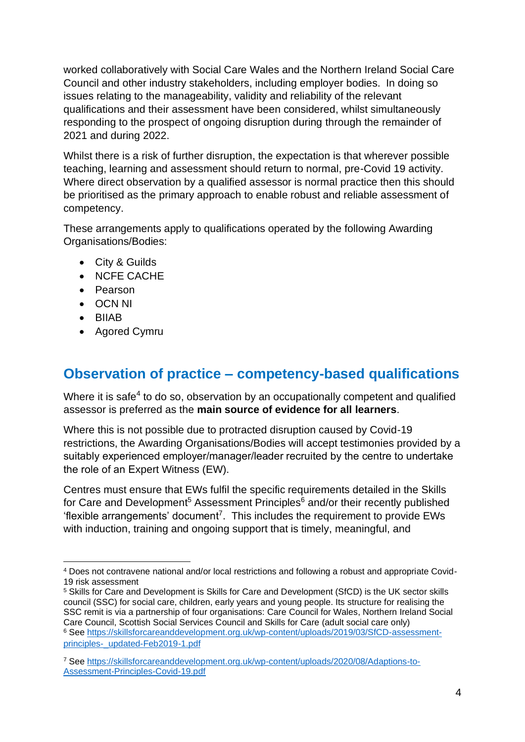worked collaboratively with Social Care Wales and the Northern Ireland Social Care Council and other industry stakeholders, including employer bodies. In doing so issues relating to the manageability, validity and reliability of the relevant qualifications and their assessment have been considered, whilst simultaneously responding to the prospect of ongoing disruption during through the remainder of 2021 and during 2022.

Whilst there is a risk of further disruption, the expectation is that wherever possible teaching, learning and assessment should return to normal, pre-Covid 19 activity. Where direct observation by a qualified assessor is normal practice then this should be prioritised as the primary approach to enable robust and reliable assessment of competency.

These arrangements apply to qualifications operated by the following Awarding Organisations/Bodies:

- City & Guilds
- NCFE CACHE
- Pearson
- OCN NI
- BIIAB
- Agored Cymru

# **Observation of practice – competency-based qualifications**

Where it is safe<sup>4</sup> to do so, observation by an occupationally competent and qualified assessor is preferred as the **main source of evidence for all learners**.

Where this is not possible due to protracted disruption caused by Covid-19 restrictions, the Awarding Organisations/Bodies will accept testimonies provided by a suitably experienced employer/manager/leader recruited by the centre to undertake the role of an Expert Witness (EW).

Centres must ensure that EWs fulfil the specific requirements detailed in the Skills for Care and Development<sup>5</sup> Assessment Principles $6$  and/or their recently published 'flexible arrangements' document<sup>7</sup>. This includes the requirement to provide EWs with induction, training and ongoing support that is timely, meaningful, and

<sup>4</sup> Does not contravene national and/or local restrictions and following a robust and appropriate Covid-19 risk assessment

<sup>5</sup> Skills for Care and Development is Skills for Care and Development (SfCD) is the UK sector skills council (SSC) for social care, children, early years and young people. Its structure for realising the SSC remit is via a partnership of four organisations: Care Council for Wales, Northern Ireland Social Care Council, Scottish Social Services Council and Skills for Care (adult social care only) <sup>6</sup> See [https://skillsforcareanddevelopment.org.uk/wp-content/uploads/2019/03/SfCD-assessment](https://skillsforcareanddevelopment.org.uk/wp-content/uploads/2019/03/SfCD-assessment-principles-_updated-Feb2019-1.pdf)[principles-\\_updated-Feb2019-1.pdf](https://skillsforcareanddevelopment.org.uk/wp-content/uploads/2019/03/SfCD-assessment-principles-_updated-Feb2019-1.pdf)

<sup>7</sup> See [https://skillsforcareanddevelopment.org.uk/wp-content/uploads/2020/08/Adaptions-to-](https://skillsforcareanddevelopment.org.uk/wp-content/uploads/2020/08/Adaptions-to-Assessment-Principles-Covid-19.pdf)[Assessment-Principles-Covid-19.pdf](https://skillsforcareanddevelopment.org.uk/wp-content/uploads/2020/08/Adaptions-to-Assessment-Principles-Covid-19.pdf)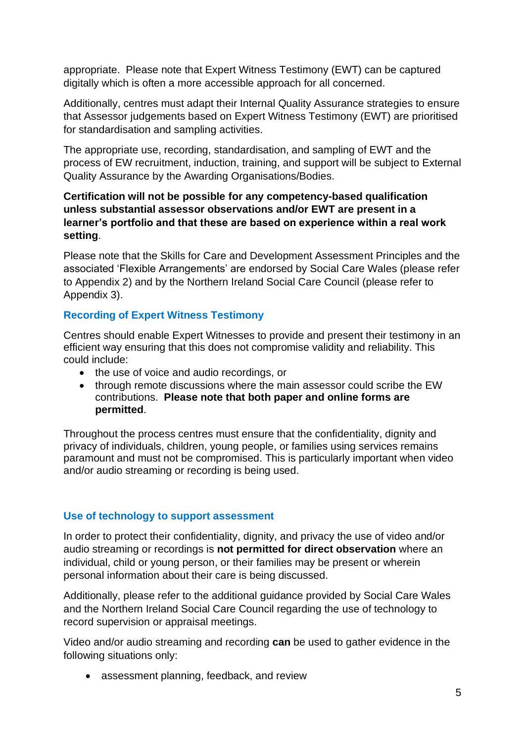appropriate. Please note that Expert Witness Testimony (EWT) can be captured digitally which is often a more accessible approach for all concerned.

Additionally, centres must adapt their Internal Quality Assurance strategies to ensure that Assessor judgements based on Expert Witness Testimony (EWT) are prioritised for standardisation and sampling activities.

The appropriate use, recording, standardisation, and sampling of EWT and the process of EW recruitment, induction, training, and support will be subject to External Quality Assurance by the Awarding Organisations/Bodies.

#### **Certification will not be possible for any competency-based qualification unless substantial assessor observations and/or EWT are present in a learner's portfolio and that these are based on experience within a real work setting**.

Please note that the Skills for Care and Development Assessment Principles and the associated 'Flexible Arrangements' are endorsed by Social Care Wales (please refer to Appendix 2) and by the Northern Ireland Social Care Council (please refer to Appendix 3).

#### **Recording of Expert Witness Testimony**

Centres should enable Expert Witnesses to provide and present their testimony in an efficient way ensuring that this does not compromise validity and reliability. This could include:

- the use of voice and audio recordings, or
- through remote discussions where the main assessor could scribe the EW contributions. **Please note that both paper and online forms are permitted**.

Throughout the process centres must ensure that the confidentiality, dignity and privacy of individuals, children, young people, or families using services remains paramount and must not be compromised. This is particularly important when video and/or audio streaming or recording is being used.

#### **Use of technology to support assessment**

In order to protect their confidentiality, dignity, and privacy the use of video and/or audio streaming or recordings is **not permitted for direct observation** where an individual, child or young person, or their families may be present or wherein personal information about their care is being discussed.

Additionally, please refer to the additional guidance provided by Social Care Wales and the Northern Ireland Social Care Council regarding the use of technology to record supervision or appraisal meetings.

Video and/or audio streaming and recording **can** be used to gather evidence in the following situations only:

• assessment planning, feedback, and review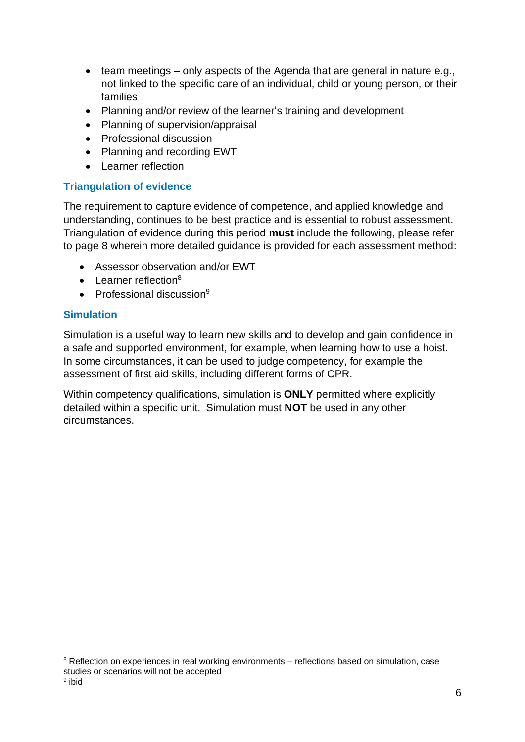- team meetings only aspects of the Agenda that are general in nature e.g., not linked to the specific care of an individual, child or young person, or their families
- Planning and/or review of the learner's training and development
- Planning of supervision/appraisal
- Professional discussion
- Planning and recording EWT
- Learner reflection

#### **Triangulation of evidence**

The requirement to capture evidence of competence, and applied knowledge and understanding, continues to be best practice and is essential to robust assessment. Triangulation of evidence during this period **must** include the following, please refer to page 8 wherein more detailed guidance is provided for each assessment method:

- Assessor observation and/or EWT
- $\bullet$  Learner reflection<sup>8</sup>
- Professional discussion $9$

#### **Simulation**

Simulation is a useful way to learn new skills and to develop and gain confidence in a safe and supported environment, for example, when learning how to use a hoist. In some circumstances, it can be used to judge competency, for example the assessment of first aid skills, including different forms of CPR.

Within competency qualifications, simulation is **ONLY** permitted where explicitly detailed within a specific unit. Simulation must **NOT** be used in any other circumstances.

<sup>&</sup>lt;sup>8</sup> Reflection on experiences in real working environments – reflections based on simulation, case studies or scenarios will not be accepted <sup>9</sup> ibid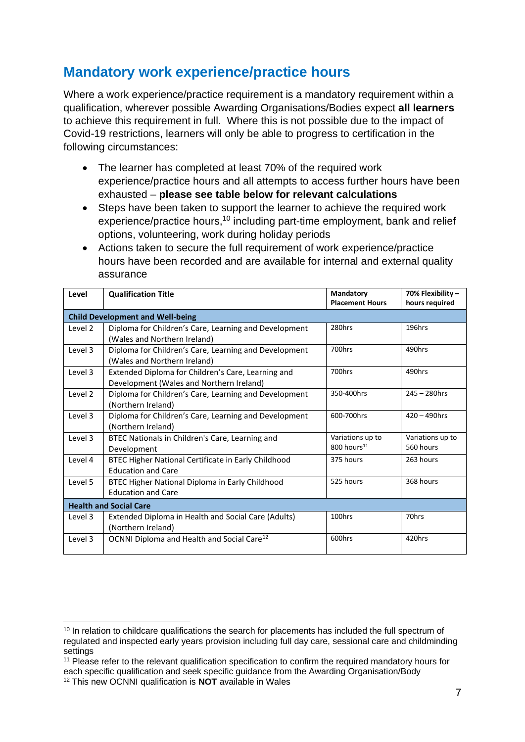### **Mandatory work experience/practice hours**

Where a work experience/practice requirement is a mandatory requirement within a qualification, wherever possible Awarding Organisations/Bodies expect **all learners** to achieve this requirement in full. Where this is not possible due to the impact of Covid-19 restrictions, learners will only be able to progress to certification in the following circumstances:

- The learner has completed at least 70% of the required work experience/practice hours and all attempts to access further hours have been exhausted – **please see table below for relevant calculations**
- Steps have been taken to support the learner to achieve the required work experience/practice hours,<sup>10</sup> including part-time employment, bank and relief options, volunteering, work during holiday periods
- Actions taken to secure the full requirement of work experience/practice hours have been recorded and are available for internal and external quality assurance

| Level                                   | <b>Qualification Title</b>                                                                     | Mandatory<br><b>Placement Hours</b>         | 70% Flexibility -<br>hours required |  |
|-----------------------------------------|------------------------------------------------------------------------------------------------|---------------------------------------------|-------------------------------------|--|
| <b>Child Development and Well-being</b> |                                                                                                |                                             |                                     |  |
| Level 2                                 | Diploma for Children's Care, Learning and Development<br>(Wales and Northern Ireland)          | 280hrs                                      | 196hrs                              |  |
| Level 3                                 | Diploma for Children's Care, Learning and Development<br>(Wales and Northern Ireland)          | 700hrs                                      | 490hrs                              |  |
| Level 3                                 | Extended Diploma for Children's Care, Learning and<br>Development (Wales and Northern Ireland) | 700hrs                                      | 490hrs                              |  |
| Level 2                                 | Diploma for Children's Care, Learning and Development<br>(Northern Ireland)                    | 350-400hrs                                  | $245 - 280$ hrs                     |  |
| Level 3                                 | Diploma for Children's Care, Learning and Development<br>(Northern Ireland)                    | 600-700hrs                                  | $420 - 490$ hrs                     |  |
| Level 3                                 | BTEC Nationals in Children's Care, Learning and<br>Development                                 | Variations up to<br>800 hours <sup>11</sup> | Variations up to<br>560 hours       |  |
| Level 4                                 | BTEC Higher National Certificate in Early Childhood<br><b>Education and Care</b>               | 375 hours                                   | 263 hours                           |  |
| Level 5                                 | BTEC Higher National Diploma in Early Childhood<br><b>Education and Care</b>                   | 525 hours                                   | 368 hours                           |  |
| <b>Health and Social Care</b>           |                                                                                                |                                             |                                     |  |
| Level 3                                 | Extended Diploma in Health and Social Care (Adults)<br>(Northern Ireland)                      | 100hrs                                      | 70hrs                               |  |
| Level 3                                 | OCNNI Diploma and Health and Social Care <sup>12</sup>                                         | 600hrs                                      | 420hrs                              |  |

<sup>&</sup>lt;sup>10</sup> In relation to childcare qualifications the search for placements has included the full spectrum of regulated and inspected early years provision including full day care, sessional care and childminding settings

<sup>&</sup>lt;sup>11</sup> Please refer to the relevant qualification specification to confirm the required mandatory hours for each specific qualification and seek specific guidance from the Awarding Organisation/Body

<sup>12</sup> This new OCNNI qualification is **NOT** available in Wales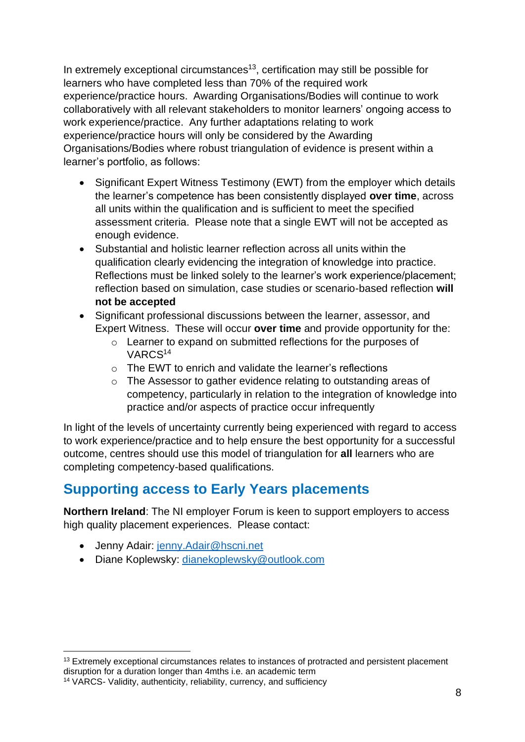In extremely exceptional circumstances<sup>13</sup>, certification may still be possible for learners who have completed less than 70% of the required work experience/practice hours. Awarding Organisations/Bodies will continue to work collaboratively with all relevant stakeholders to monitor learners' ongoing access to work experience/practice. Any further adaptations relating to work experience/practice hours will only be considered by the Awarding Organisations/Bodies where robust triangulation of evidence is present within a learner's portfolio, as follows:

- Significant Expert Witness Testimony (EWT) from the employer which details the learner's competence has been consistently displayed **over time**, across all units within the qualification and is sufficient to meet the specified assessment criteria. Please note that a single EWT will not be accepted as enough evidence.
- Substantial and holistic learner reflection across all units within the qualification clearly evidencing the integration of knowledge into practice. Reflections must be linked solely to the learner's work experience/placement; reflection based on simulation, case studies or scenario-based reflection **will not be accepted**
- Significant professional discussions between the learner, assessor, and Expert Witness. These will occur **over time** and provide opportunity for the:
	- o Learner to expand on submitted reflections for the purposes of VARCS<sup>14</sup>
	- o The EWT to enrich and validate the learner's reflections
	- o The Assessor to gather evidence relating to outstanding areas of competency, particularly in relation to the integration of knowledge into practice and/or aspects of practice occur infrequently

In light of the levels of uncertainty currently being experienced with regard to access to work experience/practice and to help ensure the best opportunity for a successful outcome, centres should use this model of triangulation for **all** learners who are completing competency-based qualifications.

# **Supporting access to Early Years placements**

**Northern Ireland**: The NI employer Forum is keen to support employers to access high quality placement experiences. Please contact:

- Jenny Adair: [jenny.Adair@hscni.net](mailto:jenny.Adair@hscni.net)
- Diane Koplewsky: [dianekoplewsky@outlook.com](mailto:dianekoplewsky@outlook.com)

<sup>&</sup>lt;sup>13</sup> Extremely exceptional circumstances relates to instances of protracted and persistent placement disruption for a duration longer than 4mths i.e. an academic term

<sup>14</sup> VARCS- Validity, authenticity, reliability, currency, and sufficiency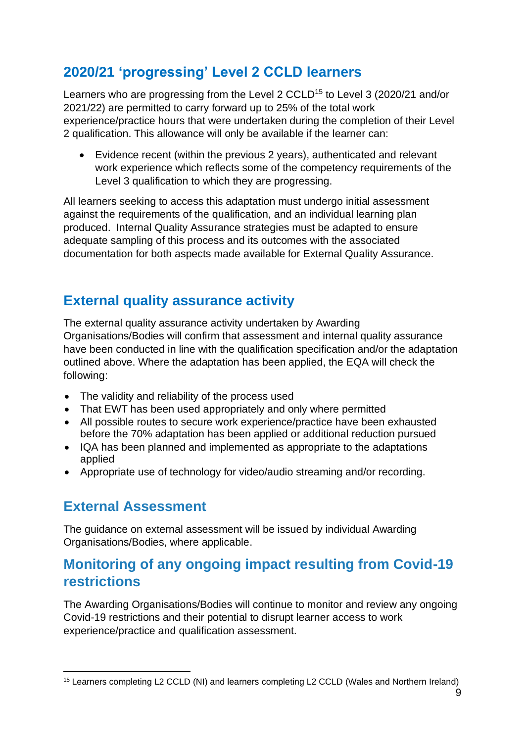# **2020/21 'progressing' Level 2 CCLD learners**

Learners who are progressing from the Level 2 CCLD<sup>15</sup> to Level 3 (2020/21 and/or 2021/22) are permitted to carry forward up to 25% of the total work experience/practice hours that were undertaken during the completion of their Level 2 qualification. This allowance will only be available if the learner can:

• Evidence recent (within the previous 2 years), authenticated and relevant work experience which reflects some of the competency requirements of the Level 3 qualification to which they are progressing.

All learners seeking to access this adaptation must undergo initial assessment against the requirements of the qualification, and an individual learning plan produced. Internal Quality Assurance strategies must be adapted to ensure adequate sampling of this process and its outcomes with the associated documentation for both aspects made available for External Quality Assurance.

### **External quality assurance activity**

The external quality assurance activity undertaken by Awarding Organisations/Bodies will confirm that assessment and internal quality assurance have been conducted in line with the qualification specification and/or the adaptation outlined above. Where the adaptation has been applied, the EQA will check the following:

- The validity and reliability of the process used
- That EWT has been used appropriately and only where permitted
- All possible routes to secure work experience/practice have been exhausted before the 70% adaptation has been applied or additional reduction pursued
- IQA has been planned and implemented as appropriate to the adaptations applied
- Appropriate use of technology for video/audio streaming and/or recording.

# **External Assessment**

The guidance on external assessment will be issued by individual Awarding Organisations/Bodies, where applicable.

### **Monitoring of any ongoing impact resulting from Covid-19 restrictions**

The Awarding Organisations/Bodies will continue to monitor and review any ongoing Covid-19 restrictions and their potential to disrupt learner access to work experience/practice and qualification assessment.

<sup>15</sup> Learners completing L2 CCLD (NI) and learners completing L2 CCLD (Wales and Northern Ireland)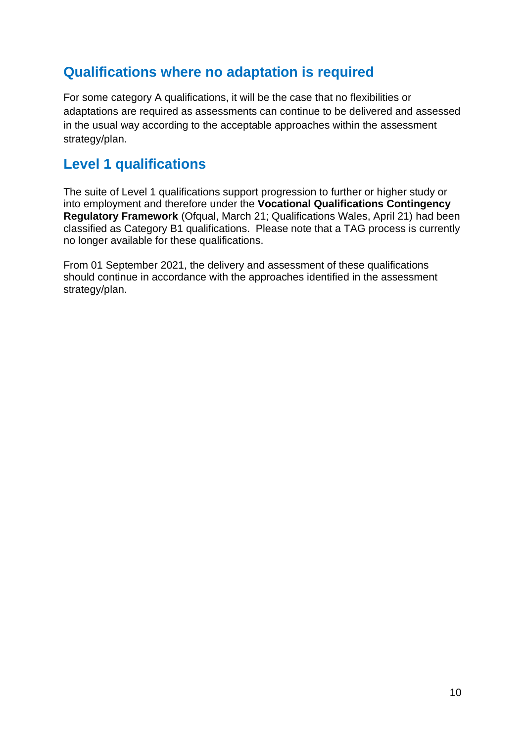### **Qualifications where no adaptation is required**

For some category A qualifications, it will be the case that no flexibilities or adaptations are required as assessments can continue to be delivered and assessed in the usual way according to the acceptable approaches within the assessment strategy/plan.

### **Level 1 qualifications**

The suite of Level 1 qualifications support progression to further or higher study or into employment and therefore under the **Vocational Qualifications Contingency Regulatory Framework** (Ofqual, March 21; Qualifications Wales, April 21) had been classified as Category B1 qualifications. Please note that a TAG process is currently no longer available for these qualifications.

From 01 September 2021, the delivery and assessment of these qualifications should continue in accordance with the approaches identified in the assessment strategy/plan.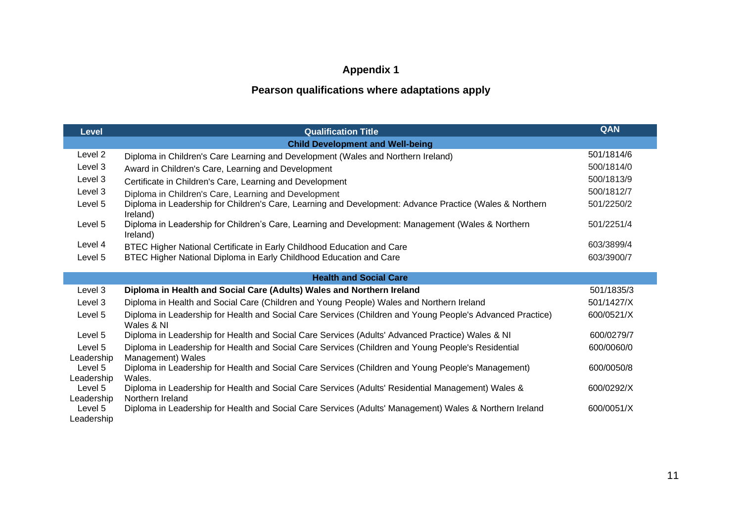### **Appendix 1**

### **Pearson qualifications where adaptations apply**

| <b>Level</b>                            | <b>Qualification Title</b>                                                                                              | QAN        |  |  |
|-----------------------------------------|-------------------------------------------------------------------------------------------------------------------------|------------|--|--|
| <b>Child Development and Well-being</b> |                                                                                                                         |            |  |  |
| Level 2                                 | Diploma in Children's Care Learning and Development (Wales and Northern Ireland)                                        | 501/1814/6 |  |  |
| Level 3                                 | Award in Children's Care, Learning and Development                                                                      | 500/1814/0 |  |  |
| Level 3                                 | Certificate in Children's Care, Learning and Development                                                                | 500/1813/9 |  |  |
| Level 3                                 | Diploma in Children's Care, Learning and Development                                                                    | 500/1812/7 |  |  |
| Level 5                                 | Diploma in Leadership for Children's Care, Learning and Development: Advance Practice (Wales & Northern<br>Ireland)     | 501/2250/2 |  |  |
| Level 5                                 | Diploma in Leadership for Children's Care, Learning and Development: Management (Wales & Northern<br>Ireland)           | 501/2251/4 |  |  |
| Level 4                                 | BTEC Higher National Certificate in Early Childhood Education and Care                                                  | 603/3899/4 |  |  |
| Level 5                                 | BTEC Higher National Diploma in Early Childhood Education and Care                                                      | 603/3900/7 |  |  |
|                                         |                                                                                                                         |            |  |  |
|                                         | <b>Health and Social Care</b>                                                                                           |            |  |  |
| Level 3                                 | Diploma in Health and Social Care (Adults) Wales and Northern Ireland                                                   | 501/1835/3 |  |  |
| Level 3                                 | Diploma in Health and Social Care (Children and Young People) Wales and Northern Ireland                                | 501/1427/X |  |  |
| Level 5                                 | Diploma in Leadership for Health and Social Care Services (Children and Young People's Advanced Practice)<br>Wales & NI | 600/0521/X |  |  |
| Level 5                                 | Diploma in Leadership for Health and Social Care Services (Adults' Advanced Practice) Wales & NI                        | 600/0279/7 |  |  |
| Level 5<br>Leadership                   | Diploma in Leadership for Health and Social Care Services (Children and Young People's Residential<br>Management) Wales | 600/0060/0 |  |  |
| Level 5<br>Leadership                   | Diploma in Leadership for Health and Social Care Services (Children and Young People's Management)<br>Wales.            | 600/0050/8 |  |  |
| Level 5<br>Leadership                   | Diploma in Leadership for Health and Social Care Services (Adults' Residential Management) Wales &<br>Northern Ireland  | 600/0292/X |  |  |
| Level 5<br>Leadership                   | Diploma in Leadership for Health and Social Care Services (Adults' Management) Wales & Northern Ireland                 | 600/0051/X |  |  |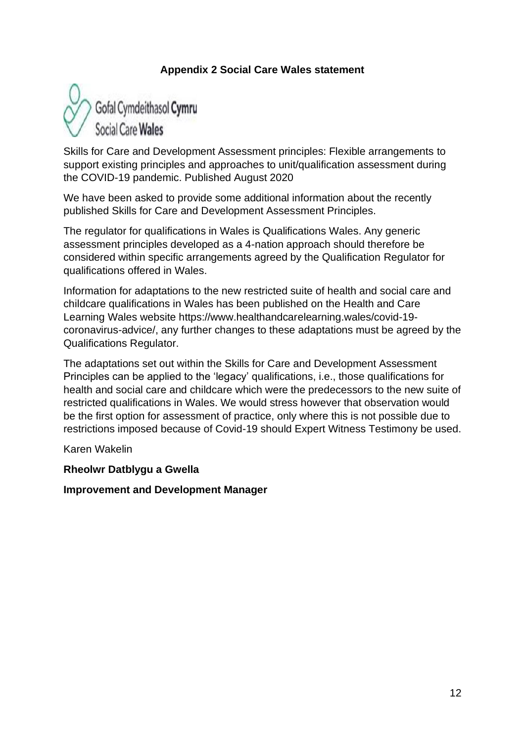#### **Appendix 2 Social Care Wales statement**



Skills for Care and Development Assessment principles: Flexible arrangements to support existing principles and approaches to unit/qualification assessment during the COVID-19 pandemic. Published August 2020

We have been asked to provide some additional information about the recently published Skills for Care and Development Assessment Principles.

The regulator for qualifications in Wales is Qualifications Wales. Any generic assessment principles developed as a 4-nation approach should therefore be considered within specific arrangements agreed by the Qualification Regulator for qualifications offered in Wales.

Information for adaptations to the new restricted suite of health and social care and childcare qualifications in Wales has been published on the Health and Care Learning Wales website https://www.healthandcarelearning.wales/covid-19 coronavirus-advice/, any further changes to these adaptations must be agreed by the Qualifications Regulator.

The adaptations set out within the Skills for Care and Development Assessment Principles can be applied to the 'legacy' qualifications, i.e., those qualifications for health and social care and childcare which were the predecessors to the new suite of restricted qualifications in Wales. We would stress however that observation would be the first option for assessment of practice, only where this is not possible due to restrictions imposed because of Covid-19 should Expert Witness Testimony be used.

Karen Wakelin

#### **Rheolwr Datblygu a Gwella**

**Improvement and Development Manager**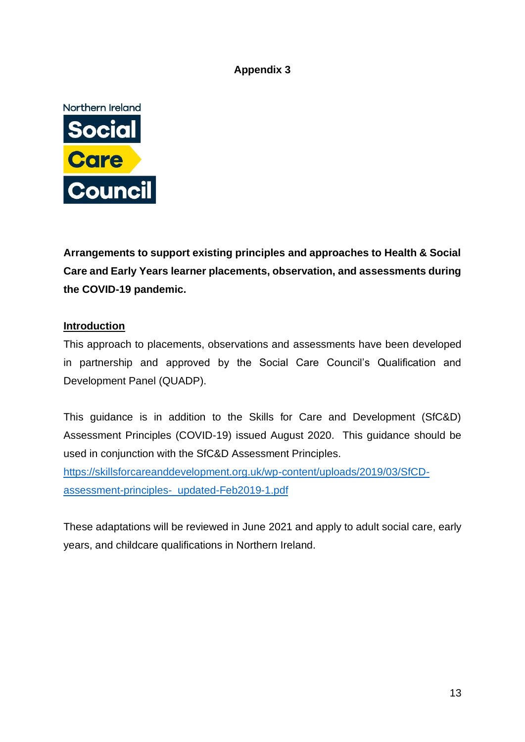#### **Appendix 3**



**Arrangements to support existing principles and approaches to Health & Social Care and Early Years learner placements, observation, and assessments during the COVID-19 pandemic.**

#### **Introduction**

This approach to placements, observations and assessments have been developed in partnership and approved by the Social Care Council's Qualification and Development Panel (QUADP).

This guidance is in addition to the Skills for Care and Development (SfC&D) Assessment Principles (COVID-19) issued August 2020. This guidance should be used in conjunction with the SfC&D Assessment Principles.

[https://skillsforcareanddevelopment.org.uk/wp-content/uploads/2019/03/SfCD](https://skillsforcareanddevelopment.org.uk/wp-content/uploads/2019/03/SfCD-assessment-principles-_updated-Feb2019-1.pdf)[assessment-principles-\\_updated-Feb2019-1.pdf](https://skillsforcareanddevelopment.org.uk/wp-content/uploads/2019/03/SfCD-assessment-principles-_updated-Feb2019-1.pdf)

These adaptations will be reviewed in June 2021 and apply to adult social care, early years, and childcare qualifications in Northern Ireland.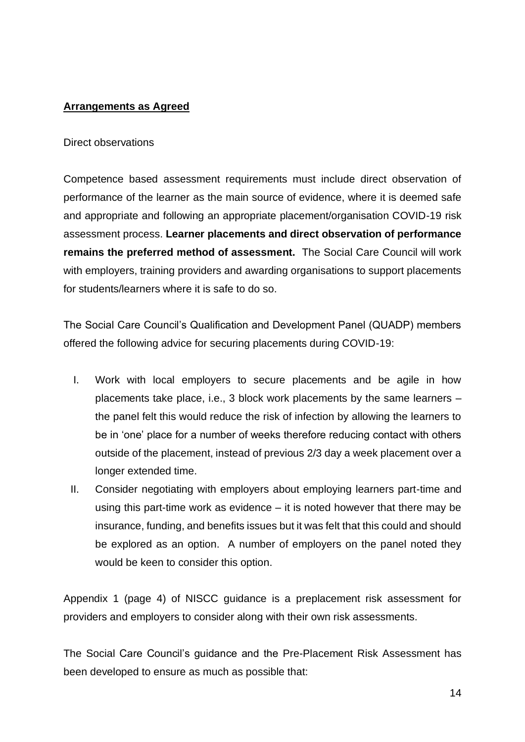#### **Arrangements as Agreed**

#### Direct observations

Competence based assessment requirements must include direct observation of performance of the learner as the main source of evidence, where it is deemed safe and appropriate and following an appropriate placement/organisation COVID-19 risk assessment process. **Learner placements and direct observation of performance remains the preferred method of assessment.** The Social Care Council will work with employers, training providers and awarding organisations to support placements for students/learners where it is safe to do so.

The Social Care Council's Qualification and Development Panel (QUADP) members offered the following advice for securing placements during COVID-19:

- I. Work with local employers to secure placements and be agile in how placements take place, i.e., 3 block work placements by the same learners – the panel felt this would reduce the risk of infection by allowing the learners to be in 'one' place for a number of weeks therefore reducing contact with others outside of the placement, instead of previous 2/3 day a week placement over a longer extended time.
- II. Consider negotiating with employers about employing learners part-time and using this part-time work as evidence – it is noted however that there may be insurance, funding, and benefits issues but it was felt that this could and should be explored as an option. A number of employers on the panel noted they would be keen to consider this option.

Appendix 1 (page 4) of NISCC guidance is a preplacement risk assessment for providers and employers to consider along with their own risk assessments.

The Social Care Council's guidance and the Pre-Placement Risk Assessment has been developed to ensure as much as possible that: